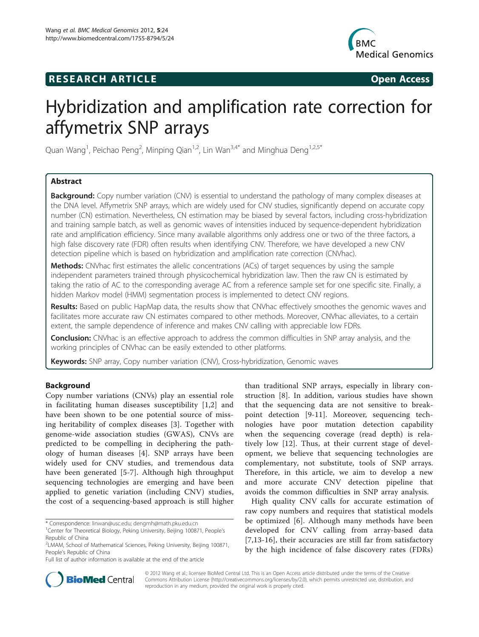## **RESEARCH ARTICLE Example 2018 Open Access**



# Hybridization and amplification rate correction for affymetrix SNP arrays

Quan Wang<sup>1</sup>, Peichao Peng<sup>2</sup>, Minping Qian<sup>1,2</sup>, Lin Wan<sup>3,4\*</sup> and Minghua Deng<sup>1,2,5\*</sup>

## Abstract

**Background:** Copy number variation (CNV) is essential to understand the pathology of many complex diseases at the DNA level. Affymetrix SNP arrays, which are widely used for CNV studies, significantly depend on accurate copy number (CN) estimation. Nevertheless, CN estimation may be biased by several factors, including cross-hybridization and training sample batch, as well as genomic waves of intensities induced by sequence-dependent hybridization rate and amplification efficiency. Since many available algorithms only address one or two of the three factors, a high false discovery rate (FDR) often results when identifying CNV. Therefore, we have developed a new CNV detection pipeline which is based on hybridization and amplification rate correction (CNVhac).

Methods: CNVhac first estimates the allelic concentrations (ACs) of target sequences by using the sample independent parameters trained through physicochemical hybridization law. Then the raw CN is estimated by taking the ratio of AC to the corresponding average AC from a reference sample set for one specific site. Finally, a hidden Markov model (HMM) segmentation process is implemented to detect CNV regions.

Results: Based on public HapMap data, the results show that CNVhac effectively smoothes the genomic waves and facilitates more accurate raw CN estimates compared to other methods. Moreover, CNVhac alleviates, to a certain extent, the sample dependence of inference and makes CNV calling with appreciable low FDRs.

Conclusion: CNVhac is an effective approach to address the common difficulties in SNP array analysis, and the working principles of CNVhac can be easily extended to other platforms.

Keywords: SNP array, Copy number variation (CNV), Cross-hybridization, Genomic waves

## Background

Copy number variations (CNVs) play an essential role in facilitating human diseases susceptibility [[1,2\]](#page-7-0) and have been shown to be one potential source of missing heritability of complex diseases [\[3](#page-7-0)]. Together with genome-wide association studies (GWAS), CNVs are predicted to be compelling in deciphering the pathology of human diseases [[4\]](#page-7-0). SNP arrays have been widely used for CNV studies, and tremendous data have been generated [[5-7\]](#page-7-0). Although high throughput sequencing technologies are emerging and have been applied to genetic variation (including CNV) studies, the cost of a sequencing-based approach is still higher

\* Correspondence: [linwan@usc.edu;](mailto:linwan@usc.edu) [dengmh@math.pku.edu.cn](mailto:dengmh@math.pku.edu.cn) <sup>1</sup>

than traditional SNP arrays, especially in library construction [[8](#page-7-0)]. In addition, various studies have shown that the sequencing data are not sensitive to breakpoint detection [[9-11\]](#page-7-0). Moreover, sequencing technologies have poor mutation detection capability when the sequencing coverage (read depth) is relatively low [\[12](#page-7-0)]. Thus, at their current stage of development, we believe that sequencing technologies are complementary, not substitute, tools of SNP arrays. Therefore, in this article, we aim to develop a new and more accurate CNV detection pipeline that avoids the common difficulties in SNP array analysis.

High quality CNV calls for accurate estimation of raw copy numbers and requires that statistical models be optimized [[6\]](#page-7-0). Although many methods have been developed for CNV calling from array-based data [[7,13-16](#page-7-0)], their accuracies are still far from satisfactory by the high incidence of false discovery rates (FDRs)



© 2012 Wang et al.; licensee BioMed Central Ltd. This is an Open Access article distributed under the terms of the Creative Commons Attribution License [\(http://creativecommons.org/licenses/by/2.0\)](http://creativecommons.org/licenses/by/2.0), which permits unrestricted use, distribution, and reproduction in any medium, provided the original work is properly cited.

<sup>&</sup>lt;sup>1</sup> Center for Theoretical Biology, Peking University, Beijing 100871, People's Republic of China

<sup>&</sup>lt;sup>2</sup>LMAM, School of Mathematical Sciences, Peking University, Beijing 100871, People's Republic of China

Full list of author information is available at the end of the article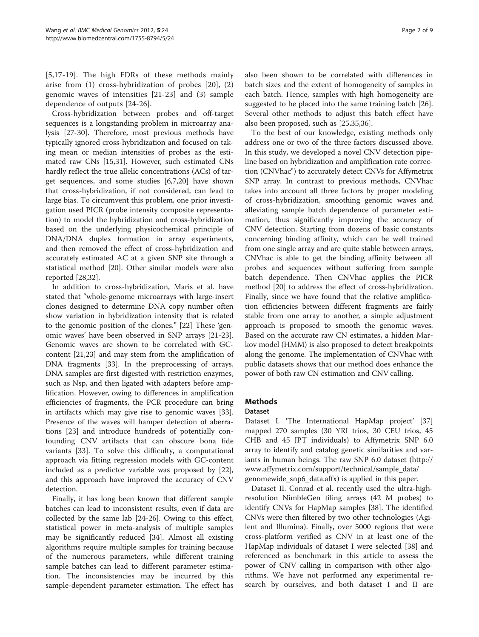[[5,17-19](#page-7-0)]. The high FDRs of these methods mainly arise from (1) cross-hybridization of probes [\[20\]](#page-7-0), (2) genomic waves of intensities [[21-23\]](#page-7-0) and (3) sample dependence of outputs [\[24](#page-7-0)-[26](#page-7-0)].

Cross-hybridization between probes and off-target sequences is a longstanding problem in microarray analysis [[27](#page-8-0)-[30\]](#page-8-0). Therefore, most previous methods have typically ignored cross-hybridization and focused on taking mean or median intensities of probes as the estimated raw CNs [\[15](#page-7-0)[,31](#page-8-0)]. However, such estimated CNs hardly reflect the true allelic concentrations (ACs) of target sequences, and some studies [[6](#page-7-0),[7,20\]](#page-7-0) have shown that cross-hybridization, if not considered, can lead to large bias. To circumvent this problem, one prior investigation used PICR (probe intensity composite representation) to model the hybridization and cross-hybridization based on the underlying physicochemical principle of DNA/DNA duplex formation in array experiments, and then removed the effect of cross-hybridization and accurately estimated AC at a given SNP site through a statistical method [[20\]](#page-7-0). Other similar models were also reported [\[28,32](#page-8-0)].

In addition to cross-hybridization, Maris et al. have stated that "whole-genome microarrays with large-insert clones designed to determine DNA copy number often show variation in hybridization intensity that is related to the genomic position of the clones." [\[22](#page-7-0)] These 'genomic waves' have been observed in SNP arrays [\[21-23](#page-7-0)]. Genomic waves are shown to be correlated with GCcontent [[21](#page-7-0),[23](#page-7-0)] and may stem from the amplification of DNA fragments [[33\]](#page-8-0). In the preprocessing of arrays, DNA samples are first digested with restriction enzymes, such as Nsp, and then ligated with adapters before amplification. However, owing to differences in amplification efficiencies of fragments, the PCR procedure can bring in artifacts which may give rise to genomic waves [\[33](#page-8-0)]. Presence of the waves will hamper detection of aberrations [[23\]](#page-7-0) and introduce hundreds of potentially confounding CNV artifacts that can obscure bona fide variants [[33\]](#page-8-0). To solve this difficulty, a computational approach via fitting regression models with GC-content included as a predictor variable was proposed by [\[22](#page-7-0)], and this approach have improved the accuracy of CNV detection.

Finally, it has long been known that different sample batches can lead to inconsistent results, even if data are collected by the same lab [\[24](#page-7-0)-[26\]](#page-7-0). Owing to this effect, statistical power in meta-analysis of multiple samples may be significantly reduced [[34\]](#page-8-0). Almost all existing algorithms require multiple samples for training because of the numerous parameters, while different training sample batches can lead to different parameter estimation. The inconsistencies may be incurred by this sample-dependent parameter estimation. The effect has

also been shown to be correlated with differences in batch sizes and the extent of homogeneity of samples in each batch. Hence, samples with high homogeneity are suggested to be placed into the same training batch [\[26](#page-7-0)]. Several other methods to adjust this batch effect have also been proposed, such as [[25,](#page-7-0)[35,36](#page-8-0)].

To the best of our knowledge, existing methods only address one or two of the three factors discussed above. In this study, we developed a novel CNV detection pipeline based on hybridization and amplification rate correction (CNVhac<sup>a</sup>) to accurately detect CNVs for Affymetrix SNP array. In contrast to previous methods, CNVhac takes into account all three factors by proper modeling of cross-hybridization, smoothing genomic waves and alleviating sample batch dependence of parameter estimation, thus significantly improving the accuracy of CNV detection. Starting from dozens of basic constants concerning binding affinity, which can be well trained from one single array and are quite stable between arrays, CNVhac is able to get the binding affinity between all probes and sequences without suffering from sample batch dependence. Then CNVhac applies the PICR method [[20\]](#page-7-0) to address the effect of cross-hybridization. Finally, since we have found that the relative amplification efficiencies between different fragments are fairly stable from one array to another, a simple adjustment approach is proposed to smooth the genomic waves. Based on the accurate raw CN estimates, a hidden Markov model (HMM) is also proposed to detect breakpoints along the genome. The implementation of CNVhac with public datasets shows that our method does enhance the power of both raw CN estimation and CNV calling.

## **Methods**

#### Dataset

Dataset I. 'The International HapMap project' [[37](#page-8-0)] mapped 270 samples (30 YRI trios, 30 CEU trios, 45 CHB and 45 JPT individuals) to Affymetrix SNP 6.0 array to identify and catalog genetic similarities and variants in human beings. The raw SNP 6.0 dataset [\(http://](http://www.affymetrix.com/support/technical/sample_data/genomewide_snp6_data.affx) [www.affymetrix.com/support/technical/sample\\_data/](http://www.affymetrix.com/support/technical/sample_data/genomewide_snp6_data.affx) [genomewide\\_snp6\\_data.affx](http://www.affymetrix.com/support/technical/sample_data/genomewide_snp6_data.affx)) is applied in this paper.

Dataset II. Conrad et al. recently used the ultra-highresolution NimbleGen tiling arrays (42 M probes) to identify CNVs for HapMap samples [\[38](#page-8-0)]. The identified CNVs were then filtered by two other technologies (Agilent and Illumina). Finally, over 5000 regions that were cross-platform verified as CNV in at least one of the HapMap individuals of dataset I were selected [[38](#page-8-0)] and referenced as benchmark in this article to assess the power of CNV calling in comparison with other algorithms. We have not performed any experimental research by ourselves, and both dataset I and II are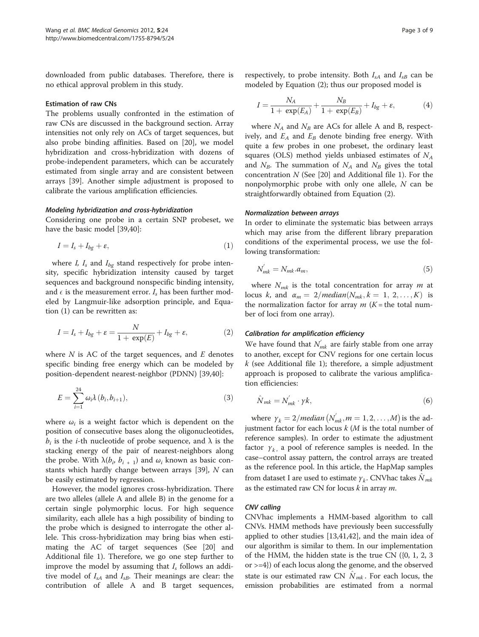downloaded from public databases. Therefore, there is no ethical approval problem in this study.

#### Estimation of raw CNs

The problems usually confronted in the estimation of raw CNs are discussed in the background section. Array intensities not only rely on ACs of target sequences, but also probe binding affinities. Based on [\[20](#page-7-0)], we model hybridization and cross-hybridization with dozens of probe-independent parameters, which can be accurately estimated from single array and are consistent between arrays [[39\]](#page-8-0). Another simple adjustment is proposed to calibrate the various amplification efficiencies.

#### Modeling hybridization and cross-hybridization

Considering one probe in a certain SNP probeset, we have the basic model [[39,40\]](#page-8-0):

$$
I = I_s + I_{bg} + \varepsilon,\tag{1}
$$

where *I*,  $I_s$  and  $I_{bg}$  stand respectively for probe intensity, specific hybridization intensity caused by target sequences and background nonspecific binding intensity, and  $\epsilon$  is the measurement error.  $I_s$  has been further modeled by Langmuir-like adsorption principle, and Equation (1) can be rewritten as:

$$
I = I_s + I_{bg} + \varepsilon = \frac{N}{1 + \exp(E)} + I_{bg} + \varepsilon,
$$
 (2)

where  $N$  is AC of the target sequences, and  $E$  denotes specific binding free energy which can be modeled by position-dependent nearest-neighbor (PDNN) [\[39,40\]](#page-8-0):

$$
E = \sum_{i=1}^{24} \omega_i \lambda (b_i, b_{i+1}),
$$
\n(3)

where  $\omega_i$  is a weight factor which is dependent on the position of consecutive bases along the oligonucleotides,  $b_i$  is the *i*-th nucleotide of probe sequence, and  $\lambda$  is the stacking energy of the pair of nearest-neighbors along the probe. With  $\lambda(b_i, b_{i+1})$  and  $\omega_i$  known as basic constants which hardly change between arrays [[39](#page-8-0)], N can be easily estimated by regression.

However, the model ignores cross-hybridization. There are two alleles (allele A and allele B) in the genome for a certain single polymorphic locus. For high sequence similarity, each allele has a high possibility of binding to the probe which is designed to interrogate the other allele. This cross-hybridization may bring bias when estimating the AC of target sequences (See [\[20](#page-7-0)] and Additional file 1). Therefore, we go one step further to improve the model by assuming that  $I_s$  follows an additive model of  $I_{sA}$  and  $I_{sB}$ . Their meanings are clear: the contribution of allele A and B target sequences,

respectively, to probe intensity. Both  $I_{sA}$  and  $I_{sB}$  can be modeled by Equation (2); thus our proposed model is

$$
I = \frac{N_A}{1 + \exp(E_A)} + \frac{N_B}{1 + \exp(E_B)} + I_{bg} + \varepsilon,
$$
 (4)

where  $N_A$  and  $N_B$  are ACs for allele A and B, respectively, and  $E_A$  and  $E_B$  denote binding free energy. With quite a few probes in one probeset, the ordinary least squares (OLS) method yields unbiased estimates of  $N_A$ and  $N_B$ . The summation of  $N_A$  and  $N_B$  gives the total concentration  $N$  (See [\[20](#page-7-0)] and Additional file 1). For the nonpolymorphic probe with only one allele,  $N$  can be straightforwardly obtained from Equation (2).

#### Normalization between arrays

In order to eliminate the systematic bias between arrays which may arise from the different library preparation conditions of the experimental process, we use the following transformation:

$$
N'_{mk} = N_{mk} \alpha_m, \tag{5}
$$

where  $N_{mk}$  is the total concentration for array m at locus k, and  $\alpha_m = 2/median(N_{mk}, k = 1, 2, \ldots, K)$  is the normalization factor for array  $m$  ( $K =$  the total number of loci from one array).

### Calibration for amplification efficiency

We have found that  $N'_{mk}$  are fairly stable from one array to another, except for CNV regions for one certain locus  $k$  (see Additional file 1); therefore, a simple adjustment approach is proposed to calibrate the various amplification efficiencies:

$$
\hat{N}_{mk} = N'_{mk} \cdot \gamma k,\tag{6}
$$

where  $\gamma_k = 2/median(N'_{mk}, m = 1, 2, ..., M)$  is the adjustment factor for each locus  $k$  ( $M$  is the total number of reference samples). In order to estimate the adjustment factor  $\gamma_k$ , a pool of reference samples is needed. In the case–control assay pattern, the control arrays are treated as the reference pool. In this article, the HapMap samples from dataset I are used to estimate  $\gamma_k$ . CNV hac takes  $\hat{N}_{mk}$ as the estimated raw CN for locus  $k$  in array  $m$ .

#### CNV calling

CNVhac implements a HMM-based algorithm to call CNVs. HMM methods have previously been successfully applied to other studies [\[13](#page-7-0)[,41,42](#page-8-0)], and the main idea of our algorithm is similar to them. In our implementation of the HMM, the hidden state is the true  $CN$  ({0, 1, 2, 3 or >=4}) of each locus along the genome, and the observed state is our estimated raw CN  $N_{mk}$ . For each locus, the emission probabilities are estimated from a normal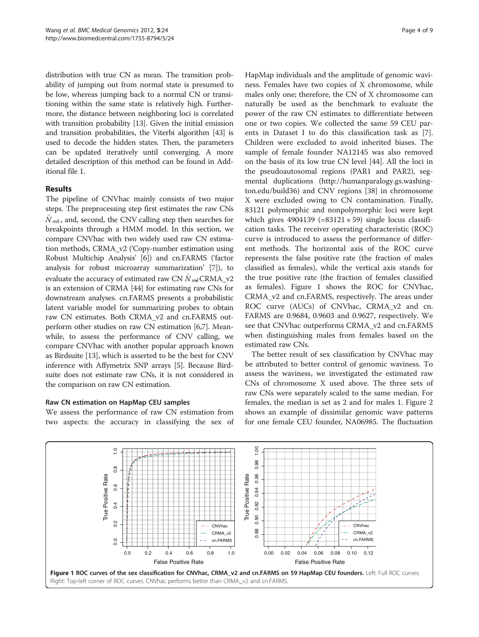distribution with true CN as mean. The transition probability of jumping out from normal state is presumed to be low, whereas jumping back to a normal CN or transitioning within the same state is relatively high. Furthermore, the distance between neighboring loci is correlated with transition probability [\[13](#page-7-0)]. Given the initial emission and transition probabilities, the Viterbi algorithm [\[43](#page-8-0)] is used to decode the hidden states. Then, the parameters can be updated iteratively until converging. A more detailed description of this method can be found in Additional file 1.

## Results

The pipeline of CNVhac mainly consists of two major steps. The preprocessing step first estimates the raw CNs  $N_{mk}$ , and, second, the CNV calling step then searches for breakpoints through a HMM model. In this section, we compare CNVhac with two widely used raw CN estimation methods, CRMA\_v2 ('Copy-number estimation using Robust Multichip Analysis' [[6\]](#page-7-0)) and cn.FARMS ('factor analysis for robust microarray summarization' [\[7](#page-7-0)]), to evaluate the accuracy of estimated raw CN  $\hat{N}_{mk}$ CRMA\_v2 is an extension of CRMA [[44](#page-8-0)] for estimating raw CNs for downstream analyses. cn.FARMS presents a probabilistic latent variable model for summarizing probes to obtain raw CN estimates. Both CRMA\_v2 and cn.FARMS outperform other studies on raw CN estimation [\[6,7\]](#page-7-0). Meanwhile, to assess the performance of CNV calling, we compare CNVhac with another popular approach known as Birdsuite [\[13\]](#page-7-0), which is asserted to be the best for CNV inference with Affymetrix SNP arrays [[5](#page-7-0)]. Because Birdsuite does not estimate raw CNs, it is not considered in the comparison on raw CN estimation.

## Raw CN estimation on HapMap CEU samples

We assess the performance of raw CN estimation from two aspects: the accuracy in classifying the sex of

HapMap individuals and the amplitude of genomic waviness. Females have two copies of X chromosome, while males only one; therefore, the CN of X chromosome can naturally be used as the benchmark to evaluate the power of the raw CN estimates to differentiate between one or two copies. We collected the same 59 CEU parents in Dataset I to do this classification task as [\[7](#page-7-0)]. Children were excluded to avoid inherited biases. The sample of female founder NA12145 was also removed on the basis of its low true CN level [[44](#page-8-0)]. All the loci in the pseudoautosomal regions (PAR1 and PAR2), segmental duplications ([http://humanparalogy.gs.washing](http://humanparalogy.gs.washington.edu/build36)[ton.edu/build36\)](http://humanparalogy.gs.washington.edu/build36) and CNV regions [[38\]](#page-8-0) in chromosome X were excluded owing to CN contamination. Finally, 83121 polymorphic and nonpolymorphic loci were kept which gives  $4904139$  (=83121 × 59) single locus classification tasks. The receiver operating characteristic (ROC) curve is introduced to assess the performance of different methods. The horizontal axis of the ROC curve represents the false positive rate (the fraction of males classified as females), while the vertical axis stands for the true positive rate (the fraction of females classified as females). Figure 1 shows the ROC for CNVhac, CRMA\_v2 and cn.FARMS, respectively. The areas under ROC curve (AUCs) of CNVhac, CRMA\_v2 and cn. FARMS are 0.9684, 0.9603 and 0.9627, respectively. We see that CNVhac outperforms CRMA\_v2 and cn.FARMS when distinguishing males from females based on the estimated raw CNs.

The better result of sex classification by CNVhac may be attributed to better control of genomic waviness. To assess the waviness, we investigated the estimated raw CNs of chromosome X used above. The three sets of raw CNs were separately scaled to the same median. For females, the median is set as 2 and for males 1. Figure [2](#page-4-0) shows an example of dissimilar genomic wave patterns for one female CEU founder, NA06985. The fluctuation

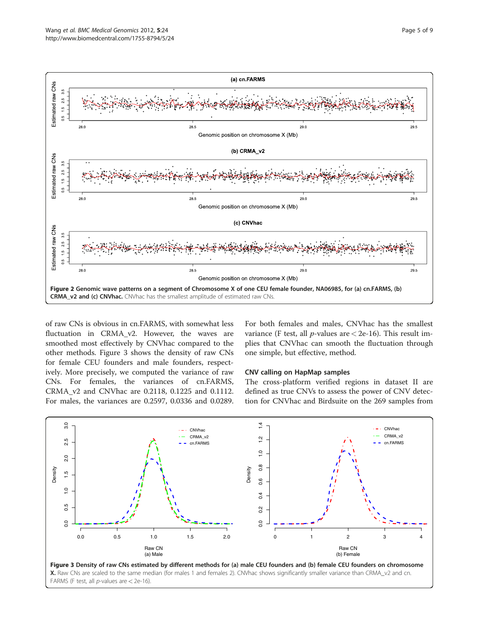<span id="page-4-0"></span>

of raw CNs is obvious in cn.FARMS, with somewhat less fluctuation in CRMA\_v2. However, the waves are smoothed most effectively by CNVhac compared to the other methods. Figure 3 shows the density of raw CNs for female CEU founders and male founders, respectively. More precisely, we computed the variance of raw CNs. For females, the variances of cn.FARMS, CRMA\_v2 and CNVhac are 0.2118, 0.1225 and 0.1112. For males, the variances are 0.2597, 0.0336 and 0.0289.

For both females and males, CNVhac has the smallest variance (F test, all  $p$ -values are < 2e-16). This result implies that CNVhac can smooth the fluctuation through one simple, but effective, method.

#### CNV calling on HapMap samples

The cross-platform verified regions in dataset II are defined as true CNVs to assess the power of CNV detection for CNVhac and Birdsuite on the 269 samples from



FARMS (F test, all  $p$ -values are  $<$  2e-16).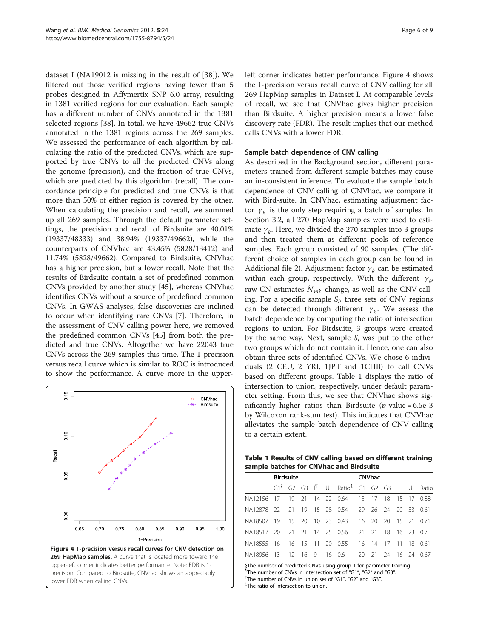dataset I (NA19012 is missing in the result of [\[38](#page-8-0)]). We filtered out those verified regions having fewer than 5 probes designed in Affymertix SNP 6.0 array, resulting in 1381 verified regions for our evaluation. Each sample has a different number of CNVs annotated in the 1381 selected regions [\[38](#page-8-0)]. In total, we have 49662 true CNVs annotated in the 1381 regions across the 269 samples. We assessed the performance of each algorithm by calculating the ratio of the predicted CNVs, which are supported by true CNVs to all the predicted CNVs along the genome (precision), and the fraction of true CNVs, which are predicted by this algorithm (recall). The concordance principle for predicted and true CNVs is that more than 50% of either region is covered by the other. When calculating the precision and recall, we summed up all 269 samples. Through the default parameter settings, the precision and recall of Birdsuite are 40.01% (19337/48333) and 38.94% (19337/49662), while the counterparts of CNVhac are 43.45% (5828/13412) and 11.74% (5828/49662). Compared to Birdsuite, CNVhac has a higher precision, but a lower recall. Note that the results of Birdsuite contain a set of predefined common CNVs provided by another study [\[45](#page-8-0)], whereas CNVhac identifies CNVs without a source of predefined common CNVs. In GWAS analyses, false discoveries are inclined to occur when identifying rare CNVs [[7](#page-7-0)]. Therefore, in the assessment of CNV calling power here, we removed the predefined common CNVs [[45\]](#page-8-0) from both the predicted and true CNVs. Altogether we have 22043 true CNVs across the 269 samples this time. The 1-precision versus recall curve which is similar to ROC is introduced to show the performance. A curve more in the upper-



left corner indicates better performance. Figure 4 shows the 1-precision versus recall curve of CNV calling for all 269 HapMap samples in Dataset I. At comparable levels of recall, we see that CNVhac gives higher precision than Birdsuite. A higher precision means a lower false discovery rate (FDR). The result implies that our method calls CNVs with a lower FDR.

### Sample batch dependence of CNV calling

As described in the Background section, different parameters trained from different sample batches may cause an in-consistent inference. To evaluate the sample batch dependence of CNV calling of CNVhac, we compare it with Bird-suite. In CNVhac, estimating adjustment factor  $\gamma_k$  is the only step requiring a batch of samples. In Section 3.2, all 270 HapMap samples were used to estimate  $\gamma_k$ . Here, we divided the 270 samples into 3 groups and then treated them as different pools of reference samples. Each group consisted of 90 samples. (The different choice of samples in each group can be found in Additional file 2). Adjustment factor  $\gamma_k$  can be estimated within each group, respectively. With the different  $\gamma_{k}$ , raw CN estimates  $\hat{N}_{mk}$  change, as well as the CNV calling. For a specific sample  $S_i$ , three sets of CNV regions can be detected through different  $\gamma_k$ . We assess the batch dependence by computing the ratio of intersection regions to union. For Birdsuite, 3 groups were created by the same way. Next, sample  $S_i$  was put to the other two groups which do not contain it. Hence, one can also obtain three sets of identified CNVs. We chose 6 individuals (2 CEU, 2 YRI, 1JPT and 1CHB) to call CNVs based on different groups. Table 1 displays the ratio of intersection to union, respectively, under default parameter setting. From this, we see that CNVhac shows significantly higher ratios than Birdsuite ( $p$ -value = 6.5e-3 by Wilcoxon rank-sum test). This indicates that CNVhac alleviates the sample batch dependence of CNV calling to a certain extent.

Table 1 Results of CNV calling based on different training sample batches for CNVhac and Birdsuite

|                             | <b>Birdsuite</b> |    |      |  |  |                                                                                | <b>CNVhac</b> |       |      |           |        |                     |
|-----------------------------|------------------|----|------|--|--|--------------------------------------------------------------------------------|---------------|-------|------|-----------|--------|---------------------|
|                             |                  |    |      |  |  | $G1^{\$}$ $G2$ $G3$ $1^{\$}$ $U^{\dagger}$ Ratio <sup>†</sup> $G1$ $G2$ $G3$ 1 |               |       |      |           | $\Box$ | Ratio               |
| NA12156 17                  |                  | 19 | 21   |  |  | 14 22 0.64                                                                     | 15            | - 17  | 18   |           | 15 17  | 0.88                |
| NA12878 22 21 19 15 28 0.54 |                  |    |      |  |  |                                                                                |               |       |      |           |        | 29 26 24 20 33 0.61 |
| NA18507 19                  |                  |    |      |  |  | 15 20 10 23 0.43                                                               |               | 16 20 | - 20 |           |        | 15 21 0.71          |
| NA18517 20                  |                  |    |      |  |  | 21 21 14 25 0.56                                                               | 21 21         |       | 18   | 16 23 0.7 |        |                     |
| NA18555 16                  |                  |    |      |  |  | 16 15 11 20 0.55                                                               | $16 \quad 14$ |       | - 17 | -11       |        | 18 061              |
| NA18956                     | - 13             | 12 | 16 9 |  |  | 16 0.6                                                                         | 20            | 21    | -24  |           |        | 16 24 067           |

§The number of predicted CNVs using group 1 for parameter training. The number of CNVs in intersection set of "G1", "G2" and "G3".<sup>†</sup>The number of CNVs in upion set of "G1", "G2" and "G2". <sup>†</sup>The number of CNVs in union set of "G1", "G2" and "G3".

{ The ratio of intersection to union.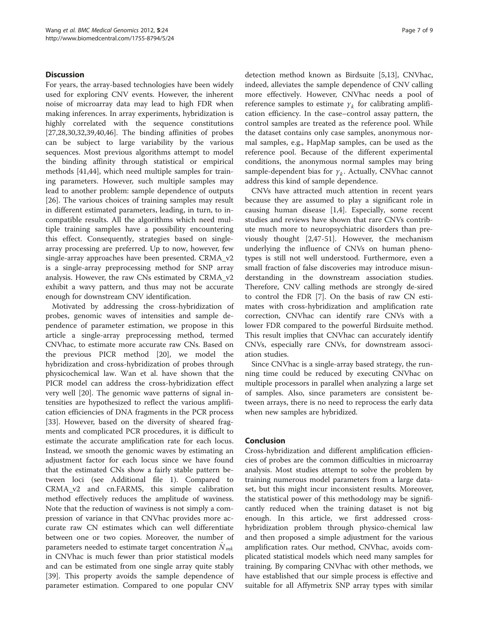## **Discussion**

For years, the array-based technologies have been widely used for exploring CNV events. However, the inherent noise of microarray data may lead to high FDR when making inferences. In array experiments, hybridization is highly correlated with the sequence constitutions [[27,28,30,32,39,40](#page-8-0),[46](#page-8-0)]. The binding affinities of probes can be subject to large variability by the various sequences. Most previous algorithms attempt to model the binding affinity through statistical or empirical methods [\[41,44](#page-8-0)], which need multiple samples for training parameters. However, such multiple samples may lead to another problem: sample dependence of outputs [[26\]](#page-7-0). The various choices of training samples may result in different estimated parameters, leading, in turn, to incompatible results. All the algorithms which need multiple training samples have a possibility encountering this effect. Consequently, strategies based on singlearray processing are preferred. Up to now, however, few single-array approaches have been presented. CRMA\_v2 is a single-array preprocessing method for SNP array analysis. However, the raw CNs estimated by CRMA\_v2 exhibit a wavy pattern, and thus may not be accurate enough for downstream CNV identification.

Motivated by addressing the cross-hybridization of probes, genomic waves of intensities and sample dependence of parameter estimation, we propose in this article a single-array preprocessing method, termed CNVhac, to estimate more accurate raw CNs. Based on the previous PICR method [[20\]](#page-7-0), we model the hybridization and cross-hybridization of probes through physicochemical law. Wan et al. have shown that the PICR model can address the cross-hybridization effect very well [[20\]](#page-7-0). The genomic wave patterns of signal intensities are hypothesized to reflect the various amplification efficiencies of DNA fragments in the PCR process [[33\]](#page-8-0). However, based on the diversity of sheared fragments and complicated PCR procedures, it is difficult to estimate the accurate amplification rate for each locus. Instead, we smooth the genomic waves by estimating an adjustment factor for each locus since we have found that the estimated CNs show a fairly stable pattern between loci (see Additional file 1). Compared to CRMA\_v2 and cn.FARMS, this simple calibration method effectively reduces the amplitude of waviness. Note that the reduction of waviness is not simply a compression of variance in that CNVhac provides more accurate raw CN estimates which can well differentiate between one or two copies. Moreover, the number of parameters needed to estimate target concentration  $N_{mk}$ in CNVhac is much fewer than prior statistical models and can be estimated from one single array quite stably [[39\]](#page-8-0). This property avoids the sample dependence of parameter estimation. Compared to one popular CNV

detection method known as Birdsuite [\[5,13\]](#page-7-0), CNVhac, indeed, alleviates the sample dependence of CNV calling more effectively. However, CNVhac needs a pool of reference samples to estimate  $\gamma_k$  for calibrating amplification efficiency. In the case–control assay pattern, the control samples are treated as the reference pool. While the dataset contains only case samples, anonymous normal samples, e.g., HapMap samples, can be used as the reference pool. Because of the different experimental conditions, the anonymous normal samples may bring sample-dependent bias for  $\gamma_k$ . Actually, CNVhac cannot address this kind of sample dependence.

CNVs have attracted much attention in recent years because they are assumed to play a significant role in causing human disease [[1,4\]](#page-7-0). Especially, some recent studies and reviews have shown that rare CNVs contribute much more to neuropsychiatric disorders than previously thought [\[2](#page-7-0)[,47-51](#page-8-0)]. However, the mechanism underlying the influence of CNVs on human phenotypes is still not well understood. Furthermore, even a small fraction of false discoveries may introduce misunderstanding in the downstream association studies. Therefore, CNV calling methods are strongly de-sired to control the FDR [\[7](#page-7-0)]. On the basis of raw CN estimates with cross-hybridization and amplification rate correction, CNVhac can identify rare CNVs with a lower FDR compared to the powerful Birdsuite method. This result implies that CNVhac can accurately identify CNVs, especially rare CNVs, for downstream association studies.

Since CNVhac is a single-array based strategy, the running time could be reduced by executing CNVhac on multiple processors in parallel when analyzing a large set of samples. Also, since parameters are consistent between arrays, there is no need to reprocess the early data when new samples are hybridized.

## Conclusion

Cross-hybridization and different amplification efficiencies of probes are the common difficulties in microarray analysis. Most studies attempt to solve the problem by training numerous model parameters from a large dataset, but this might incur inconsistent results. Moreover, the statistical power of this methodology may be significantly reduced when the training dataset is not big enough. In this article, we first addressed crosshybridization problem through physico-chemical law and then proposed a simple adjustment for the various amplification rates. Our method, CNVhac, avoids complicated statistical models which need many samples for training. By comparing CNVhac with other methods, we have established that our simple process is effective and suitable for all Affymetrix SNP array types with similar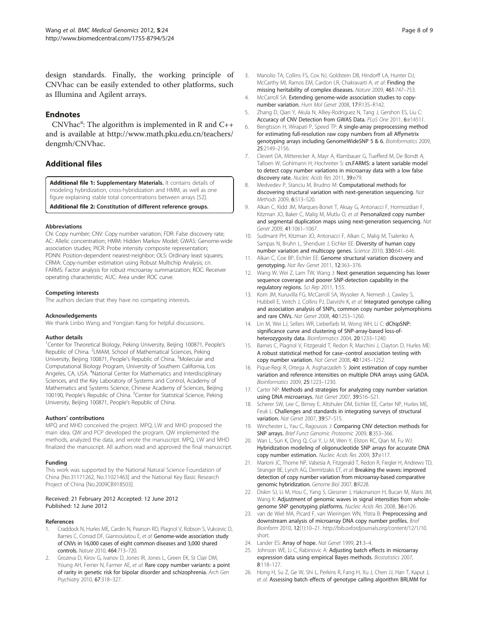<span id="page-7-0"></span>design standards. Finally, the working principle of CNVhac can be easily extended to other platforms, such as Illumina and Agilent arrays.

## Endnotes

 $CNN$ hac<sup>a</sup>: The algorithm is implemented in R and  $C++$ and is available at [http://www.math.pku.edu.cn/teachers/](http://www.math.pku.edu.cn/teachers/dengmh/CNVhac) [dengmh/CNVhac.](http://www.math.pku.edu.cn/teachers/dengmh/CNVhac)

## Additional files

[Additional file 1](http://www.biomedcentral.com/content/supplementary/1755-8794-5-24-S1.pdf): Supplementary Materials. It contains details of modeling hybridization, cross-hybridization and HMM, as well as one figure explaining stable total concentrations between arrays [52].

[Additional file 2](http://www.biomedcentral.com/content/supplementary/1755-8794-5-24-S2.xls): Constitution of different reference groups.

#### Abbreviations

CN: Copy number; CNV: Copy number variation; FDR: False discovery rate; AC: Allelic concentration; HMM: Hidden Markov Model; GWAS: Genome-wide association studies; PICR: Probe intensity composite representation; PDNN: Position-dependent nearest-neighbor; OLS: Ordinary least squares; CRMA: Copy-number estimation using Robust Multichip Analysis; cn. FARMS: Factor analysis for robust microarray summarization; ROC: Receiver operating characteristic; AUC: Area under ROC curve.

#### Competing interests

The authors declare that they have no competing interests.

## Acknowledgements

We thank Linbo Wang and Yongjian Kang for helpful discussions.

#### Author details

<sup>1</sup>Center for Theoretical Biology, Peking University, Beijing 100871, People's Republic of China. <sup>2</sup>LMAM, School of Mathematical Sciences, Peking University, Beijing 100871, People's Republic of China. <sup>3</sup>Molecular and Computational Biology Program, University of Southern California, Los Angeles, CA, USA. <sup>4</sup>National Center for Mathematics and Interdisciplinary Sciences, and the Key Laboratory of Systems and Control, Academy of Mathematics and Systems Science, Chinese Academy of Sciences, Beijing 100190, People's Republic of China. <sup>5</sup>Center for Statistical Science, Peking University, Beijing 100871, People's Republic of China.

#### Authors' contributions

MPQ and MHD conceived the project. MPQ, LW and MHD proposed the main idea. QW and PCP developed the program. QW implemented the methods, analyzed the data, and wrote the manuscript. MPQ, LW and MHD finalized the manuscript. All authors read and approved the final manuscript.

#### Funding

This work was supported by the National Natural Science Foundation of China [No.31171262, No.11021463] and the National Key Basic Research Project of China [No.2009CB918503].

#### Received: 21 February 2012 Accepted: 12 June 2012 Published: 12 June 2012

#### References

- 1. Craddock N, Hurles ME, Cardin N, Pearson RD, Plagnol V, Robson S, Vukcevic D, Barnes C, Conrad DF, Giannoulatou E, et al: Genome-wide association study of CNVs in 16,000 cases of eight common diseases and 3,000 shared controls. Nature 2010, 464:713–720.
- 2. Grozeva D, Kirov G, Ivanov D, Jones IR, Jones L, Green EK, St Clair DM, Young AH, Ferrier N, Farmer AE, et al: Rare copy number variants: a point of rarity in genetic risk for bipolar disorder and schizophrenia. Arch Gen Psychiatry 2010, 67:318–327.
- 3. Manolio TA, Collins FS, Cox NJ, Goldstein DB, Hindorff LA, Hunter DJ, McCarthy MI, Ramos EM, Cardon LR, Chakravarti A, et al: Finding the missing heritability of complex diseases. Nature 2009, 461:747–753.
- 4. McCarroll SA: Extending genome-wide association studies to copynumber variation. Hum Mol Genet 2008, 17:R135–R142.
- 5. Zhang D, Qian Y, Akula N, Alliey-Rodriguez N, Tang J, Gershon ES, Liu C: Accuracy of CNV Detection from GWAS Data. PLoS One 2011, 6:e14511.
- 6. Bengtsson H, Wirapati P, Speed TP: A single-array preprocessing method for estimating full-resolution raw copy numbers from all Affymetrix genotyping arrays including GenomeWideSNP 5 & 6. Bioinformatics 2009, 25:2149–2156.
- 7. Clevert DA, Mitterecker A, Mayr A, Klambauer G, Tuefferd M, De Bondt A, Talloen W, Gohlmann H, Hochreiter S: cn.FARMS: a latent variable model to detect copy number variations in microarray data with a low false discovery rate. Nucleic Acids Res 2011, 39:e79.
- 8. Medvedev P, Stanciu M, Brudno M: Computational methods for discovering structural variation with next-generation sequencing. Nat Methods 2009, 6:S13–S20.
- 9. Alkan C, Kidd JM, Marques-Bonet T, Aksay G, Antonacci F, Hormozdiari F, Kitzman JO, Baker C, Malig M, Mutlu O, et al: Personalized copy number and segmental duplication maps using next-generation sequencing. Nat Genet 2009, 41:1061–1067.
- 10. Sudmant PH, Kitzman JO, Antonacci F, Alkan C, Malig M, Tsalenko A, Sampas N, Bruhn L, Shendure J, Eichler EE: Diversity of human copy number variation and multicopy genes. Science 2010, 330:641–646.
- 11. Alkan C, Coe BP, Eichler EE: Genome structural variation discovery and genotyping. Nat Rev Genet 2011, 12:363–376.
- 12. Wang W, Wei Z, Lam TW, Wang J: Next generation sequencing has lower sequence coverage and poorer SNP-detection capability in the regulatory regions. Sci Rep 2011, 1:55.
- 13. Korn JM, Kuruvilla FG, McCarroll SA, Wysoker A, Nemesh J, Cawley S, Hubbell E, Veitch J, Collins PJ, Darvishi K, et al: Integrated genotype calling and association analysis of SNPs, common copy number polymorphisms and rare CNVs. Nat Genet 2008, 40:1253–1260.
- 14. Lin M, Wei LJ, Sellers WR, Lieberfarb M, Wong WH, Li C: dChipSNP: significance curve and clustering of SNP-array-based loss-ofheterozygosity data. Bioinformatics 2004, 20:1233-1240.
- 15. Barnes C, Plagnol V, Fitzgerald T, Redon R, Marchini J, Clayton D, Hurles ME: A robust statistical method for case–control association testing with copy number variation. Nat Genet 2008, 40:1245–1252.
- 16. Pique-Regi R, Ortega A, Asgharzadeh S: Joint estimation of copy number variation and reference intensities on multiple DNA arrays using GADA. Bioinformatics 2009, 25:1223–1230.
- 17. Carter NP: Methods and strategies for analyzing copy number variation using DNA microarrays. Nat Genet 2007, 39:S16–S21.
- 18. Scherer SW, Lee C, Birney E, Altshuler DM, Eichler EE, Carter NP, Hurles ME, Feuk L: Challenges and standards in integrating surveys of structural variation. Nat Genet 2007, 39:S7–S15.
- 19. Winchester L, Yau C, Ragoussis J: Comparing CNV detection methods for SNP arrays. Brief Funct Genomic Proteomic 2009, 8:353–366.
- 20. Wan L, Sun K, Ding Q, Cui Y, Li M, Wen Y, Elston RC, Qian M, Fu WJ: Hybridization modeling of oligonucleotide SNP arrays for accurate DNA copy number estimation. Nucleic Acids Res 2009, 37:e117.
- 21. Marioni JC, Thorne NP, Valsesia A, Fitzgerald T, Redon R, Fiegler H, Andrews TD, Stranger BE, Lynch AG, Dermitzakis ET, et al: Breaking the waves: improved detection of copy number variation from microarray-based comparative genomic hybridization. Genome Biol 2007, 8:R228.
- 22. Diskin SJ, Li M, Hou C, Yang S, Glessner J, Hakonarson H, Bucan M, Maris JM, Wang K: Adjustment of genomic waves in signal intensities from wholegenome SNP genotyping platforms. Nucleic Acids Res 2008, 36:e126.
- van de Wiel MA, Picard F, van Wieringen WN, Ylstra B: Preprocessing and downstream analysis of microarray DNA copy number profiles. Brief Bioinform 2010, 12(1):10–21. [http://bib.oxfordjournals.org/content/12/1/10.](http://bib.oxfordjournals.org/content/12/1/10.short) [short](http://bib.oxfordjournals.org/content/12/1/10.short).
- 24. Lander ES: Array of hope. Nat Genet 1999, 21:3-4.
- 25. Johnson WE, Li C, Rabinovic A: Adjusting batch effects in microarray expression data using empirical Bayes methods. Biostatistics 2007, 8:118–127.
- 26. Hong H, Su Z, Ge W, Shi L, Perkins R, Fang H, Xu J, Chen JJ, Han T, Kaput J, et al: Assessing batch effects of genotype calling algorithm BRLMM for